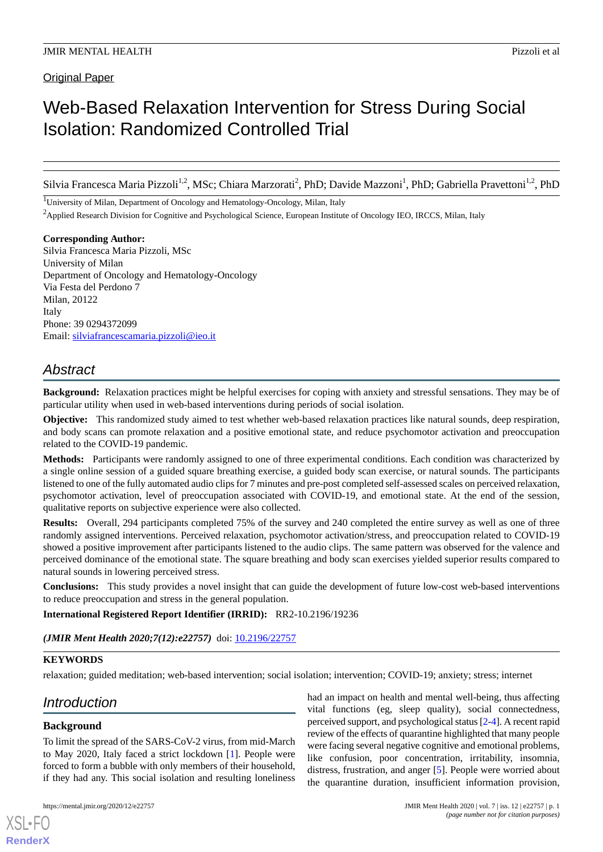Original Paper

# Web-Based Relaxation Intervention for Stress During Social Isolation: Randomized Controlled Trial

Silvia Francesca Maria Pizzoli<sup>1,2</sup>, MSc; Chiara Marzorati<sup>2</sup>, PhD; Davide Mazzoni<sup>1</sup>, PhD; Gabriella Pravettoni<sup>1,2</sup>, PhD

<sup>1</sup>University of Milan, Department of Oncology and Hematology-Oncology, Milan, Italy <sup>2</sup>Applied Research Division for Cognitive and Psychological Science, European Institute of Oncology IEO, IRCCS, Milan, Italy

**Corresponding Author:** Silvia Francesca Maria Pizzoli, MSc University of Milan Department of Oncology and Hematology-Oncology Via Festa del Perdono 7 Milan, 20122 Italy Phone: 39 0294372099 Email: [silviafrancescamaria.pizzoli@ieo.it](mailto:silviafrancescamaria.pizzoli@ieo.it)

# *Abstract*

**Background:** Relaxation practices might be helpful exercises for coping with anxiety and stressful sensations. They may be of particular utility when used in web-based interventions during periods of social isolation.

**Objective:** This randomized study aimed to test whether web-based relaxation practices like natural sounds, deep respiration, and body scans can promote relaxation and a positive emotional state, and reduce psychomotor activation and preoccupation related to the COVID-19 pandemic.

**Methods:** Participants were randomly assigned to one of three experimental conditions. Each condition was characterized by a single online session of a guided square breathing exercise, a guided body scan exercise, or natural sounds. The participants listened to one of the fully automated audio clips for 7 minutes and pre-post completed self-assessed scales on perceived relaxation, psychomotor activation, level of preoccupation associated with COVID-19, and emotional state. At the end of the session, qualitative reports on subjective experience were also collected.

**Results:** Overall, 294 participants completed 75% of the survey and 240 completed the entire survey as well as one of three randomly assigned interventions. Perceived relaxation, psychomotor activation/stress, and preoccupation related to COVID-19 showed a positive improvement after participants listened to the audio clips. The same pattern was observed for the valence and perceived dominance of the emotional state. The square breathing and body scan exercises yielded superior results compared to natural sounds in lowering perceived stress.

**Conclusions:** This study provides a novel insight that can guide the development of future low-cost web-based interventions to reduce preoccupation and stress in the general population.

**International Registered Report Identifier (IRRID):** RR2-10.2196/19236

*(JMIR Ment Health 2020;7(12):e22757)* doi:  $10.2196/22757$ 

# **KEYWORDS**

relaxation; guided meditation; web-based intervention; social isolation; intervention; COVID-19; anxiety; stress; internet

# *Introduction*

# **Background**

[XSL](http://www.w3.org/Style/XSL)•FO **[RenderX](http://www.renderx.com/)**

To limit the spread of the SARS-CoV-2 virus, from mid-March to May 2020, Italy faced a strict lockdown [[1\]](#page-10-0). People were forced to form a bubble with only members of their household, if they had any. This social isolation and resulting loneliness

had an impact on health and mental well-being, thus affecting vital functions (eg, sleep quality), social connectedness, perceived support, and psychological status [\[2](#page-10-1)[-4](#page-10-2)]. A recent rapid review of the effects of quarantine highlighted that many people were facing several negative cognitive and emotional problems, like confusion, poor concentration, irritability, insomnia, distress, frustration, and anger [\[5](#page-10-3)]. People were worried about the quarantine duration, insufficient information provision,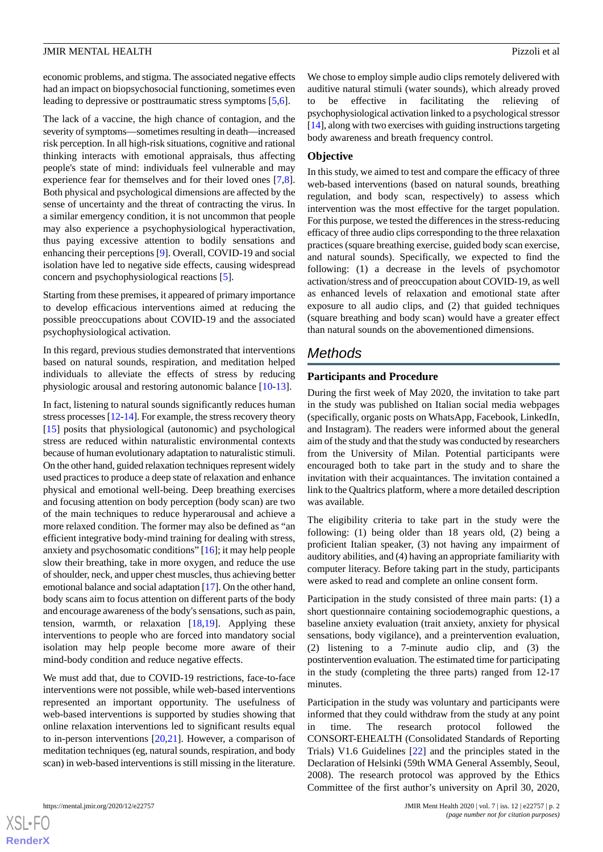economic problems, and stigma. The associated negative effects had an impact on biopsychosocial functioning, sometimes even leading to depressive or posttraumatic stress symptoms [\[5,](#page-10-3)[6\]](#page-10-4).

The lack of a vaccine, the high chance of contagion, and the severity of symptoms—sometimes resulting in death—increased risk perception. In all high-risk situations, cognitive and rational thinking interacts with emotional appraisals, thus affecting people's state of mind: individuals feel vulnerable and may experience fear for themselves and for their loved ones [\[7](#page-10-5),[8\]](#page-10-6). Both physical and psychological dimensions are affected by the sense of uncertainty and the threat of contracting the virus. In a similar emergency condition, it is not uncommon that people may also experience a psychophysiological hyperactivation, thus paying excessive attention to bodily sensations and enhancing their perceptions [[9\]](#page-10-7). Overall, COVID-19 and social isolation have led to negative side effects, causing widespread concern and psychophysiological reactions [\[5](#page-10-3)].

Starting from these premises, it appeared of primary importance to develop efficacious interventions aimed at reducing the possible preoccupations about COVID-19 and the associated psychophysiological activation.

In this regard, previous studies demonstrated that interventions based on natural sounds, respiration, and meditation helped individuals to alleviate the effects of stress by reducing physiologic arousal and restoring autonomic balance [\[10](#page-10-8)[-13](#page-10-9)].

In fact, listening to natural sounds significantly reduces human stress processes [\[12](#page-10-10)[-14](#page-10-11)]. For example, the stress recovery theory [[15\]](#page-10-12) posits that physiological (autonomic) and psychological stress are reduced within naturalistic environmental contexts because of human evolutionary adaptation to naturalistic stimuli. On the other hand, guided relaxation techniques represent widely used practices to produce a deep state of relaxation and enhance physical and emotional well-being. Deep breathing exercises and focusing attention on body perception (body scan) are two of the main techniques to reduce hyperarousal and achieve a more relaxed condition. The former may also be defined as "an efficient integrative body-mind training for dealing with stress, anxiety and psychosomatic conditions" [[16\]](#page-10-13); it may help people slow their breathing, take in more oxygen, and reduce the use of shoulder, neck, and upper chest muscles, thus achieving better emotional balance and social adaptation [[17](#page-10-14)]. On the other hand, body scans aim to focus attention on different parts of the body and encourage awareness of the body's sensations, such as pain, tension, warmth, or relaxation  $[18,19]$  $[18,19]$  $[18,19]$ . Applying these interventions to people who are forced into mandatory social isolation may help people become more aware of their mind-body condition and reduce negative effects.

We must add that, due to COVID-19 restrictions, face-to-face interventions were not possible, while web-based interventions represented an important opportunity. The usefulness of web-based interventions is supported by studies showing that online relaxation interventions led to significant results equal to in-person interventions [\[20](#page-10-17),[21\]](#page-10-18). However, a comparison of meditation techniques (eg, natural sounds, respiration, and body scan) in web-based interventions is still missing in the literature.

We chose to employ simple audio clips remotely delivered with auditive natural stimuli (water sounds), which already proved to be effective in facilitating the relieving of psychophysiological activation linked to a psychological stressor [[14\]](#page-10-11), along with two exercises with guiding instructions targeting body awareness and breath frequency control.

#### **Objective**

In this study, we aimed to test and compare the efficacy of three web-based interventions (based on natural sounds, breathing regulation, and body scan, respectively) to assess which intervention was the most effective for the target population. For this purpose, we tested the differences in the stress-reducing efficacy of three audio clips corresponding to the three relaxation practices (square breathing exercise, guided body scan exercise, and natural sounds). Specifically, we expected to find the following: (1) a decrease in the levels of psychomotor activation/stress and of preoccupation about COVID-19, as well as enhanced levels of relaxation and emotional state after exposure to all audio clips, and (2) that guided techniques (square breathing and body scan) would have a greater effect than natural sounds on the abovementioned dimensions.

# *Methods*

#### **Participants and Procedure**

During the first week of May 2020, the invitation to take part in the study was published on Italian social media webpages (specifically, organic posts on WhatsApp, Facebook, LinkedIn, and Instagram). The readers were informed about the general aim of the study and that the study was conducted by researchers from the University of Milan. Potential participants were encouraged both to take part in the study and to share the invitation with their acquaintances. The invitation contained a link to the Qualtrics platform, where a more detailed description was available.

The eligibility criteria to take part in the study were the following: (1) being older than 18 years old, (2) being a proficient Italian speaker, (3) not having any impairment of auditory abilities, and (4) having an appropriate familiarity with computer literacy. Before taking part in the study, participants were asked to read and complete an online consent form.

Participation in the study consisted of three main parts: (1) a short questionnaire containing sociodemographic questions, a baseline anxiety evaluation (trait anxiety, anxiety for physical sensations, body vigilance), and a preintervention evaluation, (2) listening to a 7-minute audio clip, and (3) the postintervention evaluation. The estimated time for participating in the study (completing the three parts) ranged from 12-17 minutes.

Participation in the study was voluntary and participants were informed that they could withdraw from the study at any point in time. The research protocol followed the CONSORT-EHEALTH (Consolidated Standards of Reporting Trials) V1.6 Guidelines [[22\]](#page-10-19) and the principles stated in the Declaration of Helsinki (59th WMA General Assembly, Seoul, 2008). The research protocol was approved by the Ethics Committee of the first author's university on April 30, 2020,

 $XS$  $\cdot$ FC **[RenderX](http://www.renderx.com/)**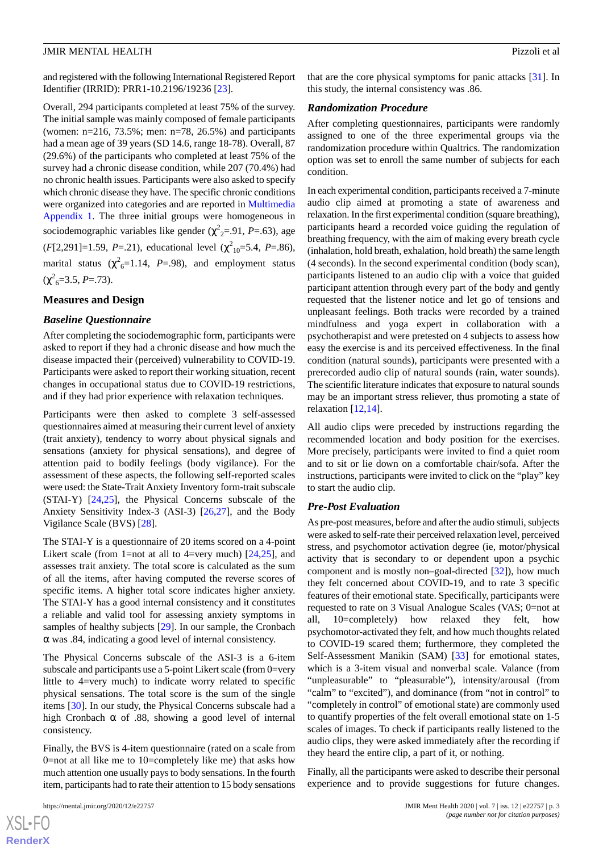and registered with the following International Registered Report Identifier (IRRID): PRR1-10.2196/19236 [\[23](#page-10-20)].

Overall, 294 participants completed at least 75% of the survey. The initial sample was mainly composed of female participants (women: n=216, 73.5%; men: n=78, 26.5%) and participants had a mean age of 39 years (SD 14.6, range 18-78). Overall, 87 (29.6%) of the participants who completed at least 75% of the survey had a chronic disease condition, while 207 (70.4%) had no chronic health issues. Participants were also asked to specify which chronic disease they have. The specific chronic conditions were organized into categories and are reported in [Multimedia](#page-9-0) [Appendix 1](#page-9-0). The three initial groups were homogeneous in sociodemographic variables like gender (χ<sup>2</sup><sub>2</sub>=.91, *P*=.63), age  $(F[2, 291] = 1.59, P = .21)$ , educational level  $(\chi^2_{10} = 5.4, P = .86)$ , marital status ( $\chi^2$ <sub>6</sub>=1.14, *P*=.98), and employment status  $(\chi^2_{6}=3.5, P=.73).$ 

#### **Measures and Design**

#### *Baseline Questionnaire*

After completing the sociodemographic form, participants were asked to report if they had a chronic disease and how much the disease impacted their (perceived) vulnerability to COVID-19. Participants were asked to report their working situation, recent changes in occupational status due to COVID-19 restrictions, and if they had prior experience with relaxation techniques.

Participants were then asked to complete 3 self-assessed questionnaires aimed at measuring their current level of anxiety (trait anxiety), tendency to worry about physical signals and sensations (anxiety for physical sensations), and degree of attention paid to bodily feelings (body vigilance). For the assessment of these aspects, the following self-reported scales were used: the State-Trait Anxiety Inventory form-trait subscale (STAI-Y) [\[24](#page-11-0),[25\]](#page-11-1), the Physical Concerns subscale of the Anxiety Sensitivity Index-3 (ASI-3) [\[26](#page-11-2),[27\]](#page-11-3), and the Body Vigilance Scale (BVS) [\[28](#page-11-4)].

The STAI-Y is a questionnaire of 20 items scored on a 4-point Likert scale (from 1=not at all to 4=very much) [[24,](#page-11-0)[25\]](#page-11-1), and assesses trait anxiety. The total score is calculated as the sum of all the items, after having computed the reverse scores of specific items. A higher total score indicates higher anxiety. The STAI-Y has a good internal consistency and it constitutes a reliable and valid tool for assessing anxiety symptoms in samples of healthy subjects [[29\]](#page-11-5). In our sample, the Cronbach α was .84, indicating a good level of internal consistency.

The Physical Concerns subscale of the ASI-3 is a 6-item subscale and participants use a 5-point Likert scale (from 0=very little to 4=very much) to indicate worry related to specific physical sensations. The total score is the sum of the single items [\[30](#page-11-6)]. In our study, the Physical Concerns subscale had a high Cronbach  $\alpha$  of .88, showing a good level of internal consistency.

Finally, the BVS is 4-item questionnaire (rated on a scale from 0=not at all like me to 10=completely like me) that asks how much attention one usually pays to body sensations. In the fourth item, participants had to rate their attention to 15 body sensations

that are the core physical symptoms for panic attacks [[31\]](#page-11-7). In this study, the internal consistency was .86.

#### *Randomization Procedure*

After completing questionnaires, participants were randomly assigned to one of the three experimental groups via the randomization procedure within Qualtrics. The randomization option was set to enroll the same number of subjects for each condition.

In each experimental condition, participants received a 7-minute audio clip aimed at promoting a state of awareness and relaxation. In the first experimental condition (square breathing), participants heard a recorded voice guiding the regulation of breathing frequency, with the aim of making every breath cycle (inhalation, hold breath, exhalation, hold breath) the same length (4 seconds). In the second experimental condition (body scan), participants listened to an audio clip with a voice that guided participant attention through every part of the body and gently requested that the listener notice and let go of tensions and unpleasant feelings. Both tracks were recorded by a trained mindfulness and yoga expert in collaboration with a psychotherapist and were pretested on 4 subjects to assess how easy the exercise is and its perceived effectiveness. In the final condition (natural sounds), participants were presented with a prerecorded audio clip of natural sounds (rain, water sounds). The scientific literature indicates that exposure to natural sounds may be an important stress reliever, thus promoting a state of relaxation [[12,](#page-10-10)[14\]](#page-10-11).

All audio clips were preceded by instructions regarding the recommended location and body position for the exercises. More precisely, participants were invited to find a quiet room and to sit or lie down on a comfortable chair/sofa. After the instructions, participants were invited to click on the "play" key to start the audio clip.

#### *Pre-Post Evaluation*

As pre-post measures, before and after the audio stimuli, subjects were asked to self-rate their perceived relaxation level, perceived stress, and psychomotor activation degree (ie, motor/physical activity that is secondary to or dependent upon a psychic component and is mostly non–goal-directed [\[32](#page-11-8)]), how much they felt concerned about COVID-19, and to rate 3 specific features of their emotional state. Specifically, participants were requested to rate on 3 Visual Analogue Scales (VAS; 0=not at all, 10=completely) how relaxed they felt, how psychomotor-activated they felt, and how much thoughts related to COVID-19 scared them; furthermore, they completed the Self-Assessment Manikin (SAM) [\[33](#page-11-9)] for emotional states, which is a 3-item visual and nonverbal scale. Valance (from "unpleasurable" to "pleasurable"), intensity/arousal (from "calm" to "excited"), and dominance (from "not in control" to "completely in control" of emotional state) are commonly used to quantify properties of the felt overall emotional state on 1-5 scales of images. To check if participants really listened to the audio clips, they were asked immediately after the recording if they heard the entire clip, a part of it, or nothing.

Finally, all the participants were asked to describe their personal experience and to provide suggestions for future changes.

```
XSL•FO
RenderX
```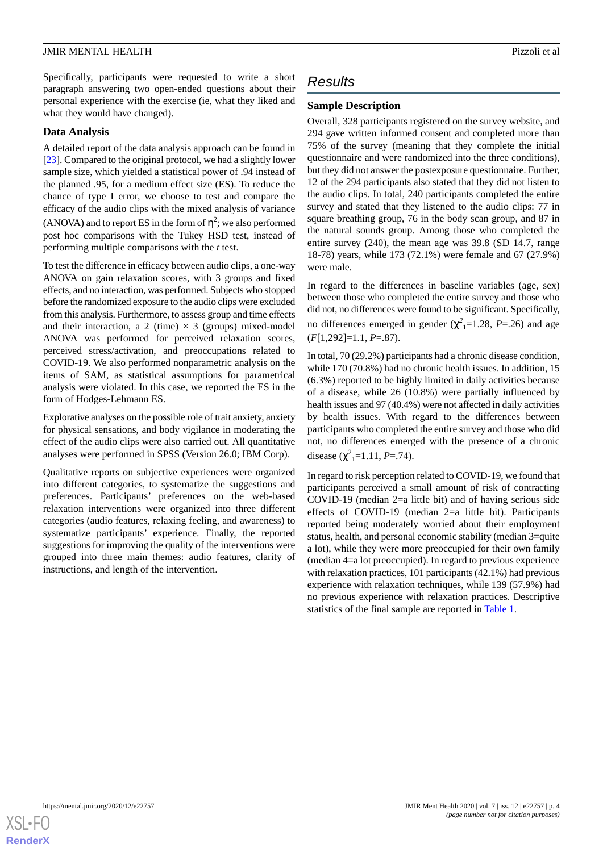Specifically, participants were requested to write a short paragraph answering two open-ended questions about their personal experience with the exercise (ie, what they liked and what they would have changed).

#### **Data Analysis**

A detailed report of the data analysis approach can be found in [[23\]](#page-10-20). Compared to the original protocol, we had a slightly lower sample size, which yielded a statistical power of .94 instead of the planned .95, for a medium effect size (ES). To reduce the chance of type I error, we choose to test and compare the efficacy of the audio clips with the mixed analysis of variance (ANOVA) and to report ES in the form of  $\eta^2$ ; we also performed post hoc comparisons with the Tukey HSD test, instead of performing multiple comparisons with the *t* test.

To test the difference in efficacy between audio clips, a one-way ANOVA on gain relaxation scores, with 3 groups and fixed effects, and no interaction, was performed. Subjects who stopped before the randomized exposure to the audio clips were excluded from this analysis. Furthermore, to assess group and time effects and their interaction, a 2 (time)  $\times$  3 (groups) mixed-model ANOVA was performed for perceived relaxation scores, perceived stress/activation, and preoccupations related to COVID-19. We also performed nonparametric analysis on the items of SAM, as statistical assumptions for parametrical analysis were violated. In this case, we reported the ES in the form of Hodges-Lehmann ES.

Explorative analyses on the possible role of trait anxiety, anxiety for physical sensations, and body vigilance in moderating the effect of the audio clips were also carried out. All quantitative analyses were performed in SPSS (Version 26.0; IBM Corp).

Qualitative reports on subjective experiences were organized into different categories, to systematize the suggestions and preferences. Participants' preferences on the web-based relaxation interventions were organized into three different categories (audio features, relaxing feeling, and awareness) to systematize participants' experience. Finally, the reported suggestions for improving the quality of the interventions were grouped into three main themes: audio features, clarity of instructions, and length of the intervention.

# *Results*

## **Sample Description**

Overall, 328 participants registered on the survey website, and 294 gave written informed consent and completed more than 75% of the survey (meaning that they complete the initial questionnaire and were randomized into the three conditions), but they did not answer the postexposure questionnaire. Further, 12 of the 294 participants also stated that they did not listen to the audio clips. In total, 240 participants completed the entire survey and stated that they listened to the audio clips: 77 in square breathing group, 76 in the body scan group, and 87 in the natural sounds group. Among those who completed the entire survey (240), the mean age was 39.8 (SD 14.7, range 18-78) years, while 173 (72.1%) were female and 67 (27.9%) were male.

In regard to the differences in baseline variables (age, sex) between those who completed the entire survey and those who did not, no differences were found to be significant. Specifically, no differences emerged in gender  $(\chi^2_{1} = 1.28, P = .26)$  and age (*F*[1,292]=1.1, *P*=.87).

In total, 70 (29.2%) participants had a chronic disease condition, while 170 (70.8%) had no chronic health issues. In addition, 15 (6.3%) reported to be highly limited in daily activities because of a disease, while 26 (10.8%) were partially influenced by health issues and 97 (40.4%) were not affected in daily activities by health issues. With regard to the differences between participants who completed the entire survey and those who did not, no differences emerged with the presence of a chronic disease  $(\chi^2_{1} = 1.11, P = .74)$ .

In regard to risk perception related to COVID-19, we found that participants perceived a small amount of risk of contracting COVID-19 (median 2=a little bit) and of having serious side effects of COVID-19 (median 2=a little bit). Participants reported being moderately worried about their employment status, health, and personal economic stability (median 3=quite a lot), while they were more preoccupied for their own family (median 4=a lot preoccupied). In regard to previous experience with relaxation practices, 101 participants (42.1%) had previous experience with relaxation techniques, while 139 (57.9%) had no previous experience with relaxation practices. Descriptive statistics of the final sample are reported in [Table 1.](#page-4-0)

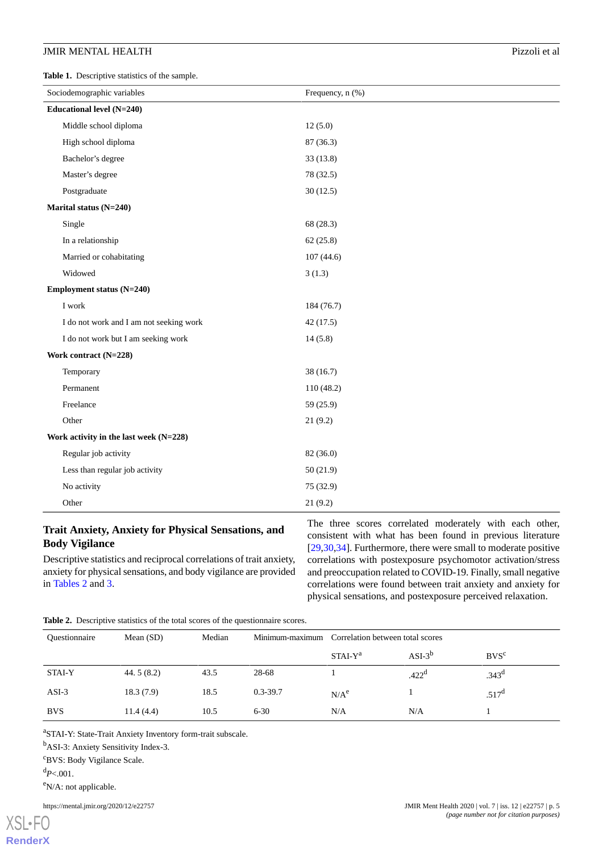<span id="page-4-0"></span>**Table 1.** Descriptive statistics of the sample.

| Sociodemographic variables              | Frequency, n (%) |  |  |
|-----------------------------------------|------------------|--|--|
| Educational level (N=240)               |                  |  |  |
| Middle school diploma                   | 12(5.0)          |  |  |
| High school diploma                     | 87 (36.3)        |  |  |
| Bachelor's degree                       | 33(13.8)         |  |  |
| Master's degree                         | 78 (32.5)        |  |  |
| Postgraduate                            | 30(12.5)         |  |  |
| Marital status (N=240)                  |                  |  |  |
| Single                                  | 68 (28.3)        |  |  |
| In a relationship                       | 62(25.8)         |  |  |
| Married or cohabitating                 | 107(44.6)        |  |  |
| Widowed                                 | 3(1.3)           |  |  |
| Employment status (N=240)               |                  |  |  |
| I work                                  | 184 (76.7)       |  |  |
| I do not work and I am not seeking work | 42(17.5)         |  |  |
| I do not work but I am seeking work     | 14(5.8)          |  |  |
| Work contract (N=228)                   |                  |  |  |
| Temporary                               | 38(16.7)         |  |  |
| Permanent                               | 110 (48.2)       |  |  |
| Freelance                               | 59(25.9)         |  |  |
| Other                                   | 21(9.2)          |  |  |
| Work activity in the last week (N=228)  |                  |  |  |
| Regular job activity                    | 82 (36.0)        |  |  |
| Less than regular job activity          | 50(21.9)         |  |  |
| No activity                             | 75 (32.9)        |  |  |
| Other                                   | 21(9.2)          |  |  |

# **Trait Anxiety, Anxiety for Physical Sensations, and Body Vigilance**

<span id="page-4-1"></span>Descriptive statistics and reciprocal correlations of trait anxiety, anxiety for physical sensations, and body vigilance are provided in [Tables 2](#page-4-1) and [3.](#page-5-0)

The three scores correlated moderately with each other, consistent with what has been found in previous literature [[29,](#page-11-5)[30,](#page-11-6)[34\]](#page-11-10). Furthermore, there were small to moderate positive correlations with postexposure psychomotor activation/stress and preoccupation related to COVID-19. Finally, small negative correlations were found between trait anxiety and anxiety for physical sensations, and postexposure perceived relaxation.

**Table 2.** Descriptive statistics of the total scores of the questionnaire scores.

| <b>Ouestionnaire</b> | Mean $(SD)$  | Median |              | Minimum-maximum Correlation between total scores |                   |                   |
|----------------------|--------------|--------|--------------|--------------------------------------------------|-------------------|-------------------|
|                      |              |        |              | $STAI-Ya$                                        | $ASI-3^b$         | $BVS^c$           |
| <b>STAI-Y</b>        | 44.5 $(8.2)$ | 43.5   | 28-68        |                                                  | .422 <sup>d</sup> | .343 <sup>d</sup> |
| $ASI-3$              | 18.3(7.9)    | 18.5   | $0.3 - 39.7$ | N/A <sup>e</sup>                                 |                   | $.517^{\rm d}$    |
| <b>BVS</b>           | 11.4(4.4)    | 10.5   | $6 - 30$     | N/A                                              | N/A               |                   |

<sup>a</sup>STAI-Y: State-Trait Anxiety Inventory form-trait subscale.

<sup>b</sup>ASI-3: Anxiety Sensitivity Index-3.

<sup>c</sup>BVS: Body Vigilance Scale.

 $d_{P<.001}$ .

 $e$ <sup>N</sup>/A: not applicable.

https://mental.jmir.org/2020/12/e22757 JMIR Ment Health 2020 | vol. 7 | iss. 12 | e22757 | p. 5

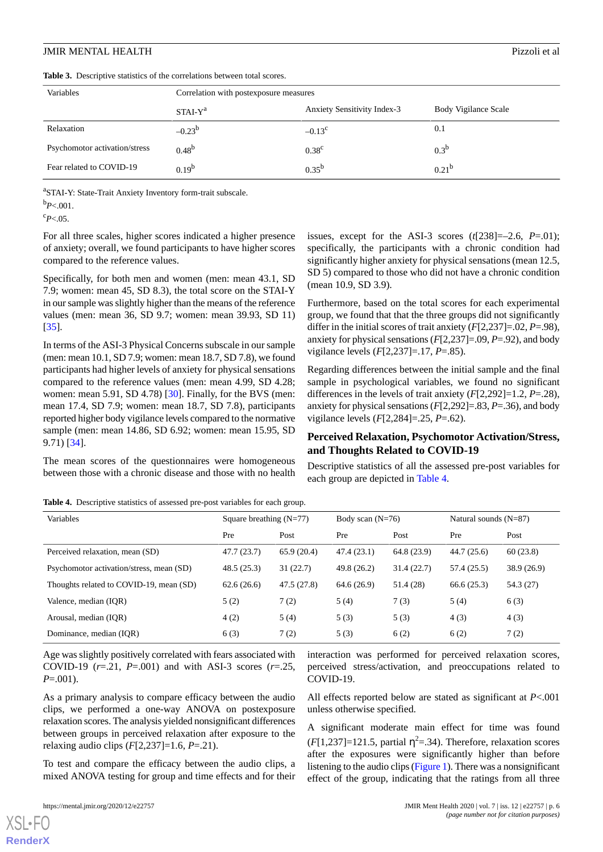<span id="page-5-0"></span>**Table 3.** Descriptive statistics of the correlations between total scores.

| Variables                     | Correlation with postexposure measures |                                    |                      |  |
|-------------------------------|----------------------------------------|------------------------------------|----------------------|--|
|                               | $STAI-Ya$                              | <b>Anxiety Sensitivity Index-3</b> | Body Vigilance Scale |  |
| Relaxation                    | $-0.23^{b}$                            | $-0.13^{\circ}$                    | 0.1                  |  |
| Psychomotor activation/stress | $0.48^{b}$                             | $0.38^{\circ}$                     | $0.3^b$              |  |
| Fear related to COVID-19      | $0.19^{b}$                             | $0.35^{b}$                         | $0.21^{b}$           |  |

aSTAI-Y: State-Trait Anxiety Inventory form-trait subscale.

 $b_{P<.001}$ .

 $c_{P<.05}$ .

For all three scales, higher scores indicated a higher presence of anxiety; overall, we found participants to have higher scores compared to the reference values.

Specifically, for both men and women (men: mean 43.1, SD 7.9; women: mean 45, SD 8.3), the total score on the STAI-Y in our sample was slightly higher than the means of the reference values (men: mean 36, SD 9.7; women: mean 39.93, SD 11) [[35\]](#page-11-11).

In terms of the ASI-3 Physical Concerns subscale in our sample (men: mean 10.1, SD 7.9; women: mean 18.7, SD 7.8), we found participants had higher levels of anxiety for physical sensations compared to the reference values (men: mean 4.99, SD 4.28; women: mean 5.91, SD 4.78) [\[30](#page-11-6)]. Finally, for the BVS (men: mean 17.4, SD 7.9; women: mean 18.7, SD 7.8), participants reported higher body vigilance levels compared to the normative sample (men: mean 14.86, SD 6.92; women: mean 15.95, SD 9.71) [\[34](#page-11-10)].

<span id="page-5-1"></span>The mean scores of the questionnaires were homogeneous between those with a chronic disease and those with no health

issues, except for the ASI-3 scores (*t*[238]=–2.6, *P*=.01); specifically, the participants with a chronic condition had significantly higher anxiety for physical sensations (mean 12.5, SD 5) compared to those who did not have a chronic condition (mean 10.9, SD 3.9).

Furthermore, based on the total scores for each experimental group, we found that that the three groups did not significantly differ in the initial scores of trait anxiety (*F*[2,237]=.02, *P*=.98), anxiety for physical sensations (*F*[2,237]=.09, *P*=.92), and body vigilance levels (*F*[2,237]=.17, *P*=.85).

Regarding differences between the initial sample and the final sample in psychological variables, we found no significant differences in the levels of trait anxiety (*F*[2,292]=1.2, *P*=.28), anxiety for physical sensations (*F*[2,292]=.83, *P*=.36), and body vigilance levels (*F*[2,284]=.25, *P*=.62).

# **Perceived Relaxation, Psychomotor Activation/Stress, and Thoughts Related to COVID-19**

Descriptive statistics of all the assessed pre-post variables for each group are depicted in [Table 4](#page-5-1).

**Table 4.** Descriptive statistics of assessed pre-post variables for each group.

| Variables                                | Square breathing $(N=77)$ |            | Body scan $(N=76)$ |             | Natural sounds $(N=87)$ |            |
|------------------------------------------|---------------------------|------------|--------------------|-------------|-------------------------|------------|
|                                          | Pre                       | Post       | Pre                | Post        | Pre                     | Post       |
| Perceived relaxation, mean (SD)          | 47.7(23.7)                | 65.9(20.4) | 47.4(23.1)         | 64.8 (23.9) | 44.7(25.6)              | 60(23.8)   |
| Psychomotor activation/stress, mean (SD) | 48.5(25.3)                | 31(22.7)   | 49.8 (26.2)        | 31.4(22.7)  | 57.4 (25.5)             | 38.9(26.9) |
| Thoughts related to COVID-19, mean (SD)  | 62.6(26.6)                | 47.5(27.8) | 64.6(26.9)         | 51.4 (28)   | 66.6(25.3)              | 54.3 (27)  |
| Valence, median (IOR)                    | 5(2)                      | 7(2)       | 5(4)               | 7(3)        | 5(4)                    | 6(3)       |
| Arousal, median (IOR)                    | 4(2)                      | 5(4)       | 5(3)               | 5(3)        | 4(3)                    | 4(3)       |
| Dominance, median (IQR)                  | 6(3)                      | 7(2)       | 5(3)               | 6(2)        | 6(2)                    | 7(2)       |

Age was slightly positively correlated with fears associated with COVID-19 (*r*=.21, *P*=.001) and with ASI-3 scores (*r*=.25, *P*=.001).

As a primary analysis to compare efficacy between the audio clips, we performed a one-way ANOVA on postexposure relaxation scores. The analysis yielded nonsignificant differences between groups in perceived relaxation after exposure to the relaxing audio clips (*F*[2,237]=1.6, *P*=.21).

To test and compare the efficacy between the audio clips, a mixed ANOVA testing for group and time effects and for their interaction was performed for perceived relaxation scores, perceived stress/activation, and preoccupations related to COVID-19.

All effects reported below are stated as significant at *P*<.001 unless otherwise specified.

A significant moderate main effect for time was found  $(F[1,237] = 121.5$ , partial  $\eta^2 = .34$ ). Therefore, relaxation scores after the exposures were significantly higher than before listening to the audio clips [\(Figure 1\)](#page-6-0). There was a nonsignificant effect of the group, indicating that the ratings from all three

[XSL](http://www.w3.org/Style/XSL)•FO **[RenderX](http://www.renderx.com/)**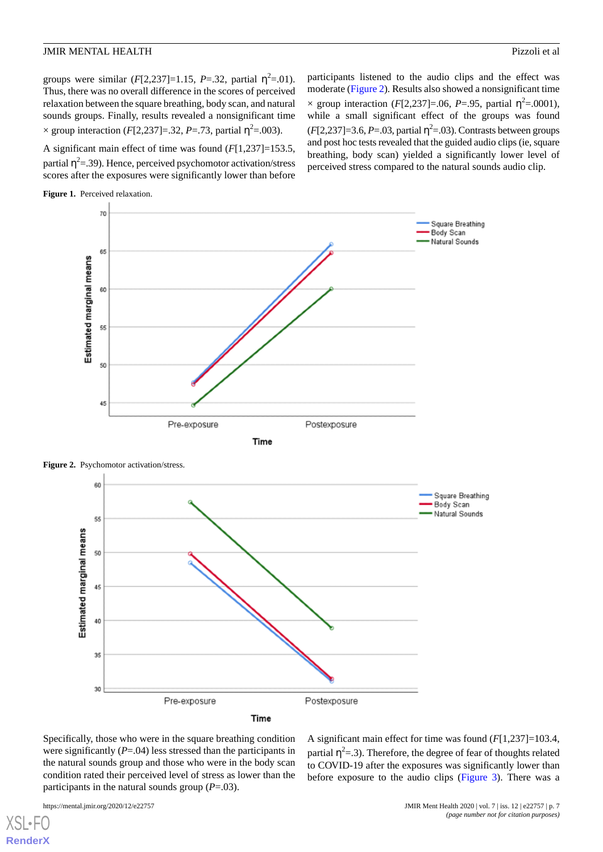groups were similar  $(F[2, 237]=1.15, P=.32,$  partial  $\eta^2=.01$ ). Thus, there was no overall difference in the scores of perceived relaxation between the square breathing, body scan, and natural sounds groups. Finally, results revealed a nonsignificant time  $\times$  group interaction (*F*[2,237]=.32, *P*=.73, partial η<sup>2</sup>=.003).

A significant main effect of time was found (*F*[1,237]=153.5, partial  $\eta^2$ =.39). Hence, perceived psychomotor activation/stress scores after the exposures were significantly lower than before

participants listened to the audio clips and the effect was moderate [\(Figure 2](#page-6-1)). Results also showed a nonsignificant time  $\times$  group interaction (*F*[2,237]=.06, *P*=.95, partial η<sup>2</sup>=.0001), while a small significant effect of the groups was found  $(F[2, 237] = 3.6, P = .03$ , partial  $\eta^2 = .03$ ). Contrasts between groups and post hoc tests revealed that the guided audio clips (ie, square breathing, body scan) yielded a significantly lower level of perceived stress compared to the natural sounds audio clip.

<span id="page-6-0"></span>





<span id="page-6-1"></span>Figure 2. Psychomotor activation/stress.

Specifically, those who were in the square breathing condition were significantly (*P*=.04) less stressed than the participants in the natural sounds group and those who were in the body scan condition rated their perceived level of stress as lower than the participants in the natural sounds group  $(P=.03)$ .

[XSL](http://www.w3.org/Style/XSL)•FO **[RenderX](http://www.renderx.com/)**

A significant main effect for time was found (*F*[1,237]=103.4, partial  $\eta^2$ =.3). Therefore, the degree of fear of thoughts related to COVID-19 after the exposures was significantly lower than before exposure to the audio clips [\(Figure 3\)](#page-7-0). There was a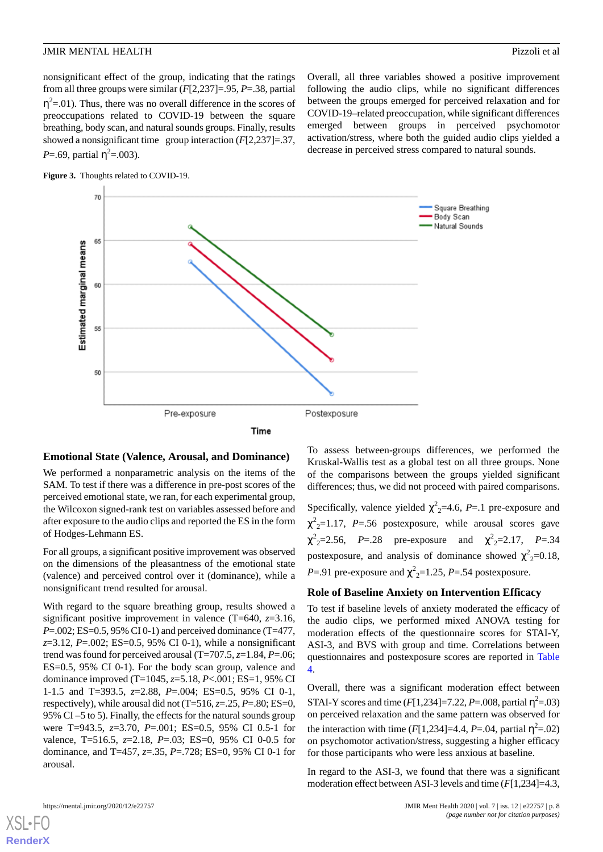nonsignificant effect of the group, indicating that the ratings from all three groups were similar (*F*[2,237]=.95, *P*=.38, partial  $\eta^2$ =.01). Thus, there was no overall difference in the scores of preoccupations related to COVID-19 between the square breathing, body scan, and natural sounds groups. Finally, results showed a nonsignificant time group interaction (*F*[2,237]=.37, *P*=.69, partial  $\eta^2$ =.003).



<span id="page-7-0"></span>



#### **Emotional State (Valence, Arousal, and Dominance)**

We performed a nonparametric analysis on the items of the SAM. To test if there was a difference in pre-post scores of the perceived emotional state, we ran, for each experimental group, the Wilcoxon signed-rank test on variables assessed before and after exposure to the audio clips and reported the ES in the form of Hodges-Lehmann ES.

For all groups, a significant positive improvement was observed on the dimensions of the pleasantness of the emotional state (valence) and perceived control over it (dominance), while a nonsignificant trend resulted for arousal.

With regard to the square breathing group, results showed a significant positive improvement in valence (T=640, *z*=3.16, *P*=.002; ES=0.5, 95% CI 0-1) and perceived dominance (T=477, *z*=3.12, *P*=.002; ES=0.5, 95% CI 0-1), while a nonsignificant trend was found for perceived arousal (T=707.5, *z*=1.84, *P*=.06; ES=0.5, 95% CI 0-1). For the body scan group, valence and dominance improved (T=1045, *z*=5.18, *P*<.001; ES=1, 95% CI 1-1.5 and T=393.5, *z*=2.88, *P*=.004; ES=0.5, 95% CI 0-1, respectively), while arousal did not  $(T=516, z=.25, P=.80; ES=0,$ 95% CI –5 to 5). Finally, the effects for the natural sounds group were T=943.5, *z*=3.70, *P*=.001; ES=0.5, 95% CI 0.5-1 for valence, T=516.5, *z*=2.18, *P*=.03; ES=0, 95% CI 0-0.5 for dominance, and T=457, *z*=.35, *P*=.728; ES=0, 95% CI 0-1 for arousal.

To assess between-groups differences, we performed the Kruskal-Wallis test as a global test on all three groups. None of the comparisons between the groups yielded significant differences; thus, we did not proceed with paired comparisons.

Overall, all three variables showed a positive improvement following the audio clips, while no significant differences

Specifically, valence yielded  $\chi^2$ <sub>2</sub>=4.6, *P*=.1 pre-exposure and  $\chi^2$ <sub>2</sub>=1.17, *P*=.56 postexposure, while arousal scores gave  $\chi^2$ <sub>2</sub>=2.56, *P*=.28 pre-exposure and  $\chi^2$ <sub>2</sub>=2.17, *P*=.34 postexposure, and analysis of dominance showed  $\chi^2$ <sub>2</sub>=0.18, *P*=.91 pre-exposure and  $\chi^2$ <sub>2</sub>=1.25, *P*=.54 postexposure.

#### **Role of Baseline Anxiety on Intervention Efficacy**

To test if baseline levels of anxiety moderated the efficacy of the audio clips, we performed mixed ANOVA testing for moderation effects of the questionnaire scores for STAI-Y, ASI-3, and BVS with group and time. Correlations between questionnaires and postexposure scores are reported in [Table](#page-5-1) [4.](#page-5-1)

Overall, there was a significant moderation effect between STAI-Y scores and time  $(F[1,234] = 7.22, P = .008,$  partial  $\eta^2 = .03)$ on perceived relaxation and the same pattern was observed for the interaction with time  $(F[1,234]=4.4, P=.04,$  partial  $\eta^2=.02)$ on psychomotor activation/stress, suggesting a higher efficacy for those participants who were less anxious at baseline.

In regard to the ASI-3, we found that there was a significant moderation effect between ASI-3 levels and time (*F*[1,234]=4.3,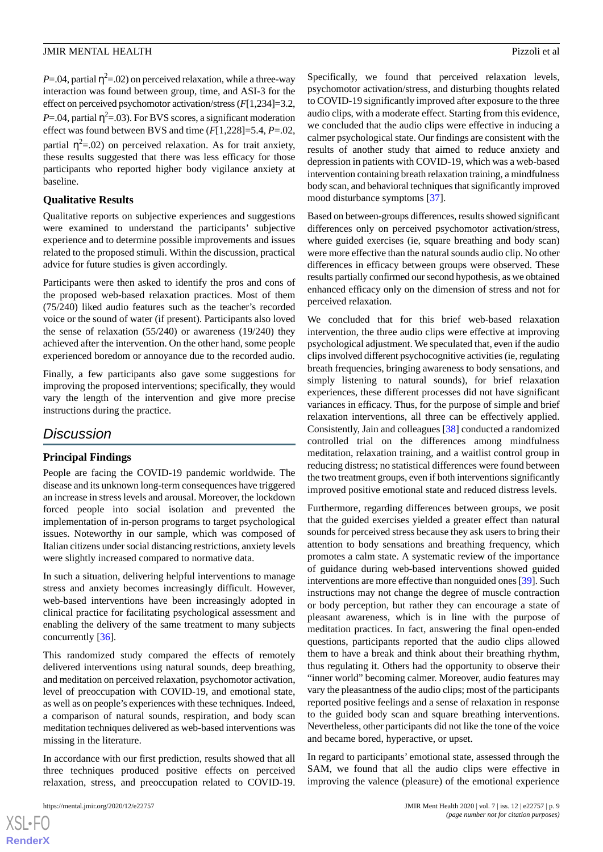$P = 0.04$ , partial  $\eta^2 = 0.02$ ) on perceived relaxation, while a three-way interaction was found between group, time, and ASI-3 for the effect on perceived psychomotor activation/stress (*F*[1,234]=3.2,  $P = .04$ , partial  $\eta^2 = .03$ ). For BVS scores, a significant moderation effect was found between BVS and time (*F*[1,228]=5.4, *P*=.02, partial  $\eta^2$ =.02) on perceived relaxation. As for trait anxiety, these results suggested that there was less efficacy for those participants who reported higher body vigilance anxiety at baseline.

# **Qualitative Results**

Qualitative reports on subjective experiences and suggestions were examined to understand the participants' subjective experience and to determine possible improvements and issues related to the proposed stimuli. Within the discussion, practical advice for future studies is given accordingly.

Participants were then asked to identify the pros and cons of the proposed web-based relaxation practices. Most of them (75/240) liked audio features such as the teacher's recorded voice or the sound of water (if present). Participants also loved the sense of relaxation (55/240) or awareness (19/240) they achieved after the intervention. On the other hand, some people experienced boredom or annoyance due to the recorded audio.

Finally, a few participants also gave some suggestions for improving the proposed interventions; specifically, they would vary the length of the intervention and give more precise instructions during the practice.

# *Discussion*

# **Principal Findings**

People are facing the COVID-19 pandemic worldwide. The disease and its unknown long-term consequences have triggered an increase in stress levels and arousal. Moreover, the lockdown forced people into social isolation and prevented the implementation of in-person programs to target psychological issues. Noteworthy in our sample, which was composed of Italian citizens under social distancing restrictions, anxiety levels were slightly increased compared to normative data.

In such a situation, delivering helpful interventions to manage stress and anxiety becomes increasingly difficult. However, web-based interventions have been increasingly adopted in clinical practice for facilitating psychological assessment and enabling the delivery of the same treatment to many subjects concurrently [[36\]](#page-11-12).

This randomized study compared the effects of remotely delivered interventions using natural sounds, deep breathing, and meditation on perceived relaxation, psychomotor activation, level of preoccupation with COVID-19, and emotional state, as well as on people's experiences with these techniques. Indeed, a comparison of natural sounds, respiration, and body scan meditation techniques delivered as web-based interventions was missing in the literature.

In accordance with our first prediction, results showed that all three techniques produced positive effects on perceived relaxation, stress, and preoccupation related to COVID-19.

Specifically, we found that perceived relaxation levels, psychomotor activation/stress, and disturbing thoughts related to COVID-19 significantly improved after exposure to the three audio clips, with a moderate effect. Starting from this evidence, we concluded that the audio clips were effective in inducing a calmer psychological state. Our findings are consistent with the results of another study that aimed to reduce anxiety and depression in patients with COVID-19, which was a web-based intervention containing breath relaxation training, a mindfulness body scan, and behavioral techniques that significantly improved mood disturbance symptoms [\[37](#page-11-13)].

Based on between-groups differences, results showed significant differences only on perceived psychomotor activation/stress, where guided exercises (ie, square breathing and body scan) were more effective than the natural sounds audio clip. No other differences in efficacy between groups were observed. These results partially confirmed our second hypothesis, as we obtained enhanced efficacy only on the dimension of stress and not for perceived relaxation.

We concluded that for this brief web-based relaxation intervention, the three audio clips were effective at improving psychological adjustment. We speculated that, even if the audio clips involved different psychocognitive activities (ie, regulating breath frequencies, bringing awareness to body sensations, and simply listening to natural sounds), for brief relaxation experiences, these different processes did not have significant variances in efficacy. Thus, for the purpose of simple and brief relaxation interventions, all three can be effectively applied. Consistently, Jain and colleagues [\[38](#page-11-14)] conducted a randomized controlled trial on the differences among mindfulness meditation, relaxation training, and a waitlist control group in reducing distress; no statistical differences were found between the two treatment groups, even if both interventions significantly improved positive emotional state and reduced distress levels.

Furthermore, regarding differences between groups, we posit that the guided exercises yielded a greater effect than natural sounds for perceived stress because they ask users to bring their attention to body sensations and breathing frequency, which promotes a calm state. A systematic review of the importance of guidance during web-based interventions showed guided interventions are more effective than nonguided ones [\[39](#page-11-15)]. Such instructions may not change the degree of muscle contraction or body perception, but rather they can encourage a state of pleasant awareness, which is in line with the purpose of meditation practices. In fact, answering the final open-ended questions, participants reported that the audio clips allowed them to have a break and think about their breathing rhythm, thus regulating it. Others had the opportunity to observe their "inner world" becoming calmer. Moreover, audio features may vary the pleasantness of the audio clips; most of the participants reported positive feelings and a sense of relaxation in response to the guided body scan and square breathing interventions. Nevertheless, other participants did not like the tone of the voice and became bored, hyperactive, or upset.

In regard to participants' emotional state, assessed through the SAM, we found that all the audio clips were effective in improving the valence (pleasure) of the emotional experience

```
XS\cdotFC
RenderX
```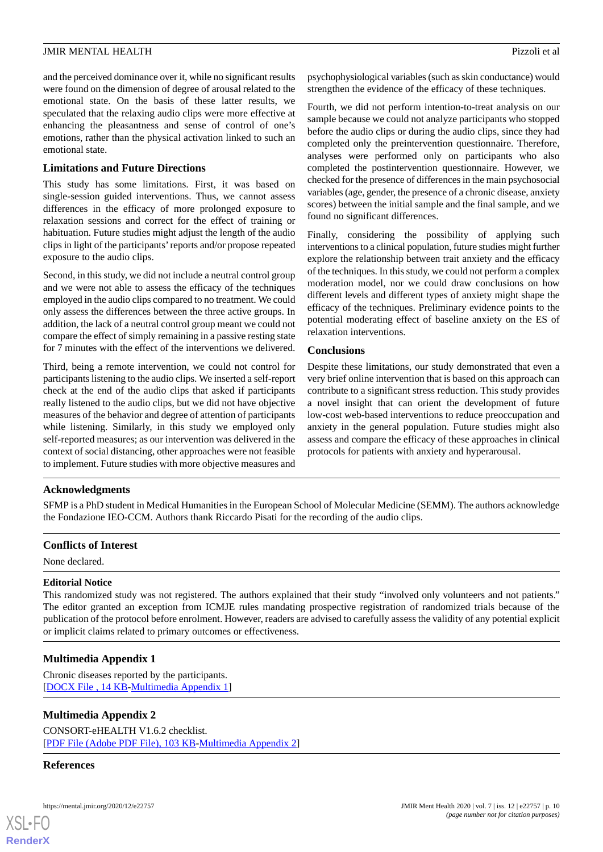and the perceived dominance over it, while no significant results were found on the dimension of degree of arousal related to the emotional state. On the basis of these latter results, we speculated that the relaxing audio clips were more effective at enhancing the pleasantness and sense of control of one's emotions, rather than the physical activation linked to such an emotional state.

## **Limitations and Future Directions**

This study has some limitations. First, it was based on single-session guided interventions. Thus, we cannot assess differences in the efficacy of more prolonged exposure to relaxation sessions and correct for the effect of training or habituation. Future studies might adjust the length of the audio clips in light of the participants'reports and/or propose repeated exposure to the audio clips.

Second, in this study, we did not include a neutral control group and we were not able to assess the efficacy of the techniques employed in the audio clips compared to no treatment. We could only assess the differences between the three active groups. In addition, the lack of a neutral control group meant we could not compare the effect of simply remaining in a passive resting state for 7 minutes with the effect of the interventions we delivered.

Third, being a remote intervention, we could not control for participants listening to the audio clips. We inserted a self-report check at the end of the audio clips that asked if participants really listened to the audio clips, but we did not have objective measures of the behavior and degree of attention of participants while listening. Similarly, in this study we employed only self-reported measures; as our intervention was delivered in the context of social distancing, other approaches were not feasible to implement. Future studies with more objective measures and

psychophysiological variables (such as skin conductance) would strengthen the evidence of the efficacy of these techniques.

Fourth, we did not perform intention-to-treat analysis on our sample because we could not analyze participants who stopped before the audio clips or during the audio clips, since they had completed only the preintervention questionnaire. Therefore, analyses were performed only on participants who also completed the postintervention questionnaire. However, we checked for the presence of differences in the main psychosocial variables (age, gender, the presence of a chronic disease, anxiety scores) between the initial sample and the final sample, and we found no significant differences.

Finally, considering the possibility of applying such interventions to a clinical population, future studies might further explore the relationship between trait anxiety and the efficacy of the techniques. In this study, we could not perform a complex moderation model, nor we could draw conclusions on how different levels and different types of anxiety might shape the efficacy of the techniques. Preliminary evidence points to the potential moderating effect of baseline anxiety on the ES of relaxation interventions.

#### **Conclusions**

Despite these limitations, our study demonstrated that even a very brief online intervention that is based on this approach can contribute to a significant stress reduction. This study provides a novel insight that can orient the development of future low-cost web-based interventions to reduce preoccupation and anxiety in the general population. Future studies might also assess and compare the efficacy of these approaches in clinical protocols for patients with anxiety and hyperarousal.

# **Acknowledgments**

SFMP is a PhD student in Medical Humanities in the European School of Molecular Medicine (SEMM). The authors acknowledge the Fondazione IEO-CCM. Authors thank Riccardo Pisati for the recording of the audio clips.

#### **Conflicts of Interest**

None declared.

#### **Editorial Notice**

<span id="page-9-0"></span>This randomized study was not registered. The authors explained that their study "involved only volunteers and not patients." The editor granted an exception from ICMJE rules mandating prospective registration of randomized trials because of the publication of the protocol before enrolment. However, readers are advised to carefully assess the validity of any potential explicit or implicit claims related to primary outcomes or effectiveness.

# **Multimedia Appendix 1**

Chronic diseases reported by the participants. [[DOCX File , 14 KB](https://jmir.org/api/download?alt_name=mental_v7i12e22757_app1.docx&filename=32b59732a7b175bc0c2859d6f53443cc.docx)-[Multimedia Appendix 1\]](https://jmir.org/api/download?alt_name=mental_v7i12e22757_app1.docx&filename=32b59732a7b175bc0c2859d6f53443cc.docx)

# **Multimedia Appendix 2**

CONSORT-eHEALTH V1.6.2 checklist. [[PDF File \(Adobe PDF File\), 103 KB](https://jmir.org/api/download?alt_name=mental_v7i12e22757_app2.pdf&filename=9880932684afe2fc9579be5001636913.pdf)-[Multimedia Appendix 2\]](https://jmir.org/api/download?alt_name=mental_v7i12e22757_app2.pdf&filename=9880932684afe2fc9579be5001636913.pdf)

#### **References**

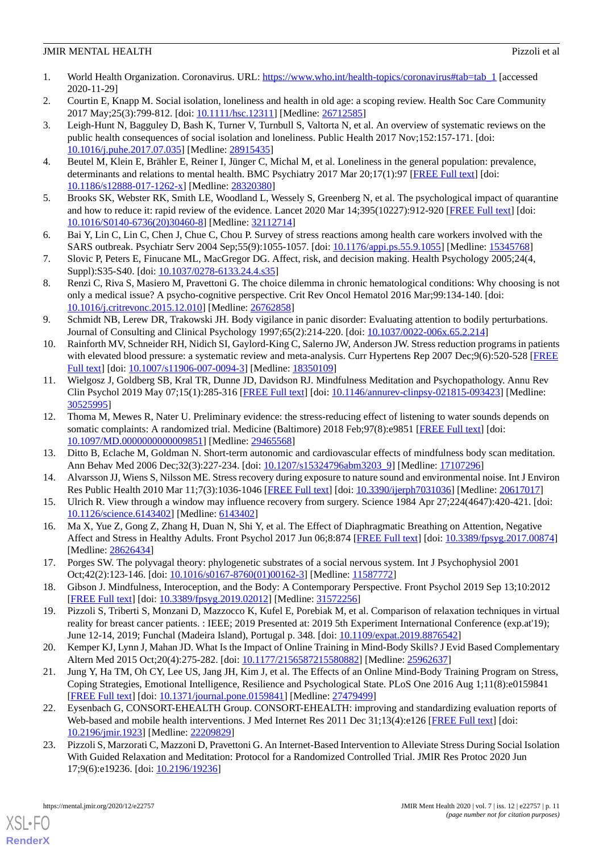- <span id="page-10-0"></span>1. World Health Organization. Coronavirus. URL: [https://www.who.int/health-topics/coronavirus#tab=tab\\_1](https://www.who.int/health-topics/coronavirus#tab=tab_1) [accessed] 2020-11-29]
- <span id="page-10-1"></span>2. Courtin E, Knapp M. Social isolation, loneliness and health in old age: a scoping review. Health Soc Care Community 2017 May; 25(3): 799-812. [doi: 10.1111/hsc. 12311] [Medline: [26712585](http://www.ncbi.nlm.nih.gov/entrez/query.fcgi?cmd=Retrieve&db=PubMed&list_uids=26712585&dopt=Abstract)]
- 3. Leigh-Hunt N, Bagguley D, Bash K, Turner V, Turnbull S, Valtorta N, et al. An overview of systematic reviews on the public health consequences of social isolation and loneliness. Public Health 2017 Nov;152:157-171. [doi: [10.1016/j.puhe.2017.07.035](http://dx.doi.org/10.1016/j.puhe.2017.07.035)] [Medline: [28915435\]](http://www.ncbi.nlm.nih.gov/entrez/query.fcgi?cmd=Retrieve&db=PubMed&list_uids=28915435&dopt=Abstract)
- <span id="page-10-3"></span><span id="page-10-2"></span>4. Beutel M, Klein E, Brähler E, Reiner I, Jünger C, Michal M, et al. Loneliness in the general population: prevalence, determinants and relations to mental health. BMC Psychiatry 2017 Mar 20;17(1):97 [\[FREE Full text\]](https://bmcpsychiatry.biomedcentral.com/articles/10.1186/s12888-017-1262-x) [doi: [10.1186/s12888-017-1262-x\]](http://dx.doi.org/10.1186/s12888-017-1262-x) [Medline: [28320380](http://www.ncbi.nlm.nih.gov/entrez/query.fcgi?cmd=Retrieve&db=PubMed&list_uids=28320380&dopt=Abstract)]
- <span id="page-10-4"></span>5. Brooks SK, Webster RK, Smith LE, Woodland L, Wessely S, Greenberg N, et al. The psychological impact of quarantine and how to reduce it: rapid review of the evidence. Lancet 2020 Mar 14;395(10227):912-920 [\[FREE Full text](http://europepmc.org/abstract/MED/32112714)] [doi: [10.1016/S0140-6736\(20\)30460-8\]](http://dx.doi.org/10.1016/S0140-6736(20)30460-8) [Medline: [32112714](http://www.ncbi.nlm.nih.gov/entrez/query.fcgi?cmd=Retrieve&db=PubMed&list_uids=32112714&dopt=Abstract)]
- <span id="page-10-5"></span>6. Bai Y, Lin C, Lin C, Chen J, Chue C, Chou P. Survey of stress reactions among health care workers involved with the SARS outbreak. Psychiatr Serv 2004 Sep;55(9):1055-1057. [doi: [10.1176/appi.ps.55.9.1055](http://dx.doi.org/10.1176/appi.ps.55.9.1055)] [Medline: [15345768](http://www.ncbi.nlm.nih.gov/entrez/query.fcgi?cmd=Retrieve&db=PubMed&list_uids=15345768&dopt=Abstract)]
- <span id="page-10-6"></span>7. Slovic P, Peters E, Finucane ML, MacGregor DG. Affect, risk, and decision making. Health Psychology 2005;24(4, Suppl):S35-S40. [doi: [10.1037/0278-6133.24.4.s35\]](http://dx.doi.org/10.1037/0278-6133.24.4.s35)
- <span id="page-10-7"></span>8. Renzi C, Riva S, Masiero M, Pravettoni G. The choice dilemma in chronic hematological conditions: Why choosing is not only a medical issue? A psycho-cognitive perspective. Crit Rev Oncol Hematol 2016 Mar;99:134-140. [doi: [10.1016/j.critrevonc.2015.12.010\]](http://dx.doi.org/10.1016/j.critrevonc.2015.12.010) [Medline: [26762858](http://www.ncbi.nlm.nih.gov/entrez/query.fcgi?cmd=Retrieve&db=PubMed&list_uids=26762858&dopt=Abstract)]
- <span id="page-10-8"></span>9. Schmidt NB, Lerew DR, Trakowski JH. Body vigilance in panic disorder: Evaluating attention to bodily perturbations. Journal of Consulting and Clinical Psychology 1997;65(2):214-220. [doi: [10.1037/0022-006x.65.2.214](http://dx.doi.org/10.1037/0022-006x.65.2.214)]
- 10. Rainforth MV, Schneider RH, Nidich SI, Gaylord-King C, Salerno JW, Anderson JW. Stress reduction programs in patients with elevated blood pressure: a systematic review and meta-analysis. Curr Hypertens Rep 2007 Dec;9(6):520-528 [[FREE](http://europepmc.org/abstract/MED/18350109) [Full text\]](http://europepmc.org/abstract/MED/18350109) [doi: [10.1007/s11906-007-0094-3](http://dx.doi.org/10.1007/s11906-007-0094-3)] [Medline: [18350109](http://www.ncbi.nlm.nih.gov/entrez/query.fcgi?cmd=Retrieve&db=PubMed&list_uids=18350109&dopt=Abstract)]
- <span id="page-10-10"></span>11. Wielgosz J, Goldberg SB, Kral TR, Dunne JD, Davidson RJ. Mindfulness Meditation and Psychopathology. Annu Rev Clin Psychol 2019 May 07;15(1):285-316 [\[FREE Full text](http://europepmc.org/abstract/MED/30525995)] [doi: [10.1146/annurev-clinpsy-021815-093423\]](http://dx.doi.org/10.1146/annurev-clinpsy-021815-093423) [Medline: [30525995](http://www.ncbi.nlm.nih.gov/entrez/query.fcgi?cmd=Retrieve&db=PubMed&list_uids=30525995&dopt=Abstract)]
- <span id="page-10-11"></span><span id="page-10-9"></span>12. Thoma M, Mewes R, Nater U. Preliminary evidence: the stress-reducing effect of listening to water sounds depends on somatic complaints: A randomized trial. Medicine (Baltimore) 2018 Feb: 97(8): e9851 [\[FREE Full text\]](https://doi.org/10.1097/MD.0000000000009851) [doi: [10.1097/MD.0000000000009851](http://dx.doi.org/10.1097/MD.0000000000009851)] [Medline: [29465568](http://www.ncbi.nlm.nih.gov/entrez/query.fcgi?cmd=Retrieve&db=PubMed&list_uids=29465568&dopt=Abstract)]
- <span id="page-10-12"></span>13. Ditto B, Eclache M, Goldman N. Short-term autonomic and cardiovascular effects of mindfulness body scan meditation. Ann Behav Med 2006 Dec;32(3):227-234. [doi: [10.1207/s15324796abm3203\\_9\]](http://dx.doi.org/10.1207/s15324796abm3203_9) [Medline: [17107296\]](http://www.ncbi.nlm.nih.gov/entrez/query.fcgi?cmd=Retrieve&db=PubMed&list_uids=17107296&dopt=Abstract)
- <span id="page-10-13"></span>14. Alvarsson JJ, Wiens S, Nilsson ME. Stress recovery during exposure to nature sound and environmental noise. Int J Environ Res Public Health 2010 Mar 11;7(3):1036-1046 [\[FREE Full text\]](https://www.mdpi.com/resolver?pii=ijerph7031036) [doi: [10.3390/ijerph7031036\]](http://dx.doi.org/10.3390/ijerph7031036) [Medline: [20617017](http://www.ncbi.nlm.nih.gov/entrez/query.fcgi?cmd=Retrieve&db=PubMed&list_uids=20617017&dopt=Abstract)]
- <span id="page-10-14"></span>15. Ulrich R. View through a window may influence recovery from surgery. Science 1984 Apr 27;224(4647):420-421. [doi: [10.1126/science.6143402\]](http://dx.doi.org/10.1126/science.6143402) [Medline: [6143402\]](http://www.ncbi.nlm.nih.gov/entrez/query.fcgi?cmd=Retrieve&db=PubMed&list_uids=6143402&dopt=Abstract)
- <span id="page-10-15"></span>16. Ma X, Yue Z, Gong Z, Zhang H, Duan N, Shi Y, et al. The Effect of Diaphragmatic Breathing on Attention, Negative Affect and Stress in Healthy Adults. Front Psychol 2017 Jun 06;8:874 [\[FREE Full text\]](https://doi.org/10.3389/fpsyg.2017.00874) [doi: [10.3389/fpsyg.2017.00874\]](http://dx.doi.org/10.3389/fpsyg.2017.00874) [Medline: [28626434](http://www.ncbi.nlm.nih.gov/entrez/query.fcgi?cmd=Retrieve&db=PubMed&list_uids=28626434&dopt=Abstract)]
- <span id="page-10-16"></span>17. Porges SW. The polyvagal theory: phylogenetic substrates of a social nervous system. Int J Psychophysiol 2001 Oct;42(2):123-146. [doi: [10.1016/s0167-8760\(01\)00162-3](http://dx.doi.org/10.1016/s0167-8760(01)00162-3)] [Medline: [11587772](http://www.ncbi.nlm.nih.gov/entrez/query.fcgi?cmd=Retrieve&db=PubMed&list_uids=11587772&dopt=Abstract)]
- <span id="page-10-17"></span>18. Gibson J. Mindfulness, Interoception, and the Body: A Contemporary Perspective. Front Psychol 2019 Sep 13;10:2012 [[FREE Full text](https://doi.org/10.3389/fpsyg.2019.02012)] [doi: [10.3389/fpsyg.2019.02012\]](http://dx.doi.org/10.3389/fpsyg.2019.02012) [Medline: [31572256\]](http://www.ncbi.nlm.nih.gov/entrez/query.fcgi?cmd=Retrieve&db=PubMed&list_uids=31572256&dopt=Abstract)
- <span id="page-10-18"></span>19. Pizzoli S, Triberti S, Monzani D, Mazzocco K, Kufel E, Porebiak M, et al. Comparison of relaxation techniques in virtual reality for breast cancer patients. : IEEE; 2019 Presented at: 2019 5th Experiment International Conference (exp.at'19); June 12-14, 2019; Funchal (Madeira Island), Portugal p. 348. [doi: [10.1109/expat.2019.8876542](http://dx.doi.org/10.1109/expat.2019.8876542)]
- <span id="page-10-19"></span>20. Kemper KJ, Lynn J, Mahan JD. What Is the Impact of Online Training in Mind-Body Skills? J Evid Based Complementary Altern Med 2015 Oct;20(4):275-282. [doi: [10.1177/2156587215580882\]](http://dx.doi.org/10.1177/2156587215580882) [Medline: [25962637](http://www.ncbi.nlm.nih.gov/entrez/query.fcgi?cmd=Retrieve&db=PubMed&list_uids=25962637&dopt=Abstract)]
- <span id="page-10-20"></span>21. Jung Y, Ha TM, Oh CY, Lee US, Jang JH, Kim J, et al. The Effects of an Online Mind-Body Training Program on Stress, Coping Strategies, Emotional Intelligence, Resilience and Psychological State. PLoS One 2016 Aug 1;11(8):e0159841 [[FREE Full text](https://dx.plos.org/10.1371/journal.pone.0159841)] [doi: [10.1371/journal.pone.0159841](http://dx.doi.org/10.1371/journal.pone.0159841)] [Medline: [27479499](http://www.ncbi.nlm.nih.gov/entrez/query.fcgi?cmd=Retrieve&db=PubMed&list_uids=27479499&dopt=Abstract)]
- 22. Eysenbach G, CONSORT-EHEALTH Group. CONSORT-EHEALTH: improving and standardizing evaluation reports of Web-based and mobile health interventions. J Med Internet Res 2011 Dec 31;13(4):e126 [\[FREE Full text\]](https://www.jmir.org/2011/4/e126/) [doi: [10.2196/jmir.1923](http://dx.doi.org/10.2196/jmir.1923)] [Medline: [22209829](http://www.ncbi.nlm.nih.gov/entrez/query.fcgi?cmd=Retrieve&db=PubMed&list_uids=22209829&dopt=Abstract)]
- 23. Pizzoli S, Marzorati C, Mazzoni D, Pravettoni G. An Internet-Based Intervention to Alleviate Stress During Social Isolation With Guided Relaxation and Meditation: Protocol for a Randomized Controlled Trial. JMIR Res Protoc 2020 Jun 17;9(6):e19236. [doi: [10.2196/19236\]](http://dx.doi.org/10.2196/19236)

[XSL](http://www.w3.org/Style/XSL)•FO **[RenderX](http://www.renderx.com/)**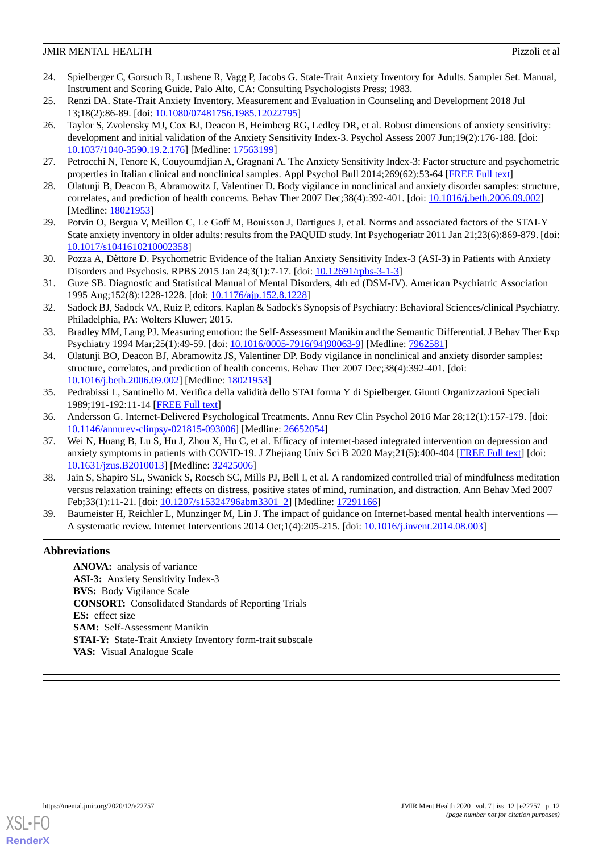- <span id="page-11-0"></span>24. Spielberger C, Gorsuch R, Lushene R, Vagg P, Jacobs G. State-Trait Anxiety Inventory for Adults. Sampler Set. Manual, Instrument and Scoring Guide. Palo Alto, CA: Consulting Psychologists Press; 1983.
- <span id="page-11-1"></span>25. Renzi DA. State-Trait Anxiety Inventory. Measurement and Evaluation in Counseling and Development 2018 Jul 13;18(2):86-89. [doi: [10.1080/07481756.1985.12022795\]](http://dx.doi.org/10.1080/07481756.1985.12022795)
- <span id="page-11-2"></span>26. Taylor S, Zvolensky MJ, Cox BJ, Deacon B, Heimberg RG, Ledley DR, et al. Robust dimensions of anxiety sensitivity: development and initial validation of the Anxiety Sensitivity Index-3. Psychol Assess 2007 Jun;19(2):176-188. [doi: [10.1037/1040-3590.19.2.176\]](http://dx.doi.org/10.1037/1040-3590.19.2.176) [Medline: [17563199](http://www.ncbi.nlm.nih.gov/entrez/query.fcgi?cmd=Retrieve&db=PubMed&list_uids=17563199&dopt=Abstract)]
- <span id="page-11-4"></span><span id="page-11-3"></span>27. Petrocchi N, Tenore K, Couyoumdjian A, Gragnani A. The Anxiety Sensitivity Index-3: Factor structure and psychometric properties in Italian clinical and nonclinical samples. Appl Psychol Bull 2014;269(62):53-64 [\[FREE Full text\]](https://www.researchgate.net/profile/Nicola_Petrocchi/publication/281729285_The_Anxiety_Sensitivity_Index-3_Factor_structure_and_psychometric_properties_in_Italian_clinical_and_non-clinical_samples/links/562b548b08ae22b17033339e.pdf)
- <span id="page-11-5"></span>28. Olatunji B, Deacon B, Abramowitz J, Valentiner D. Body vigilance in nonclinical and anxiety disorder samples: structure, correlates, and prediction of health concerns. Behav Ther 2007 Dec;38(4):392-401. [doi: [10.1016/j.beth.2006.09.002\]](http://dx.doi.org/10.1016/j.beth.2006.09.002) [Medline: [18021953](http://www.ncbi.nlm.nih.gov/entrez/query.fcgi?cmd=Retrieve&db=PubMed&list_uids=18021953&dopt=Abstract)]
- <span id="page-11-6"></span>29. Potvin O, Bergua V, Meillon C, Le Goff M, Bouisson J, Dartigues J, et al. Norms and associated factors of the STAI-Y State anxiety inventory in older adults: results from the PAQUID study. Int Psychogeriatr 2011 Jan 21;23(6):869-879. [doi: [10.1017/s1041610210002358\]](http://dx.doi.org/10.1017/s1041610210002358)
- <span id="page-11-7"></span>30. Pozza A, Dèttore D. Psychometric Evidence of the Italian Anxiety Sensitivity Index-3 (ASI-3) in Patients with Anxiety Disorders and Psychosis. RPBS 2015 Jan 24;3(1):7-17. [doi: [10.12691/rpbs-3-1-3](http://dx.doi.org/10.12691/rpbs-3-1-3)]
- <span id="page-11-8"></span>31. Guze SB. Diagnostic and Statistical Manual of Mental Disorders, 4th ed (DSM-IV). American Psychiatric Association 1995 Aug;152(8):1228-1228. [doi: [10.1176/ajp.152.8.1228](http://dx.doi.org/10.1176/ajp.152.8.1228)]
- <span id="page-11-9"></span>32. Sadock BJ, Sadock VA, Ruiz P, editors. Kaplan & Sadock's Synopsis of Psychiatry: Behavioral Sciences/clinical Psychiatry. Philadelphia, PA: Wolters Kluwer; 2015.
- <span id="page-11-10"></span>33. Bradley MM, Lang PJ. Measuring emotion: the Self-Assessment Manikin and the Semantic Differential. J Behav Ther Exp Psychiatry 1994 Mar;25(1):49-59. [doi: [10.1016/0005-7916\(94\)90063-9\]](http://dx.doi.org/10.1016/0005-7916(94)90063-9) [Medline: [7962581\]](http://www.ncbi.nlm.nih.gov/entrez/query.fcgi?cmd=Retrieve&db=PubMed&list_uids=7962581&dopt=Abstract)
- <span id="page-11-11"></span>34. Olatunji BO, Deacon BJ, Abramowitz JS, Valentiner DP. Body vigilance in nonclinical and anxiety disorder samples: structure, correlates, and prediction of health concerns. Behav Ther 2007 Dec;38(4):392-401. [doi: [10.1016/j.beth.2006.09.002\]](http://dx.doi.org/10.1016/j.beth.2006.09.002) [Medline: [18021953\]](http://www.ncbi.nlm.nih.gov/entrez/query.fcgi?cmd=Retrieve&db=PubMed&list_uids=18021953&dopt=Abstract)
- <span id="page-11-13"></span><span id="page-11-12"></span>35. Pedrabissi L, Santinello M. Verifica della validità dello STAI forma Y di Spielberger. Giunti Organizzazioni Speciali 1989;191-192:11-14 [[FREE Full text\]](https://psycnet.apa.org/record/1991-73411-001)
- 36. Andersson G. Internet-Delivered Psychological Treatments. Annu Rev Clin Psychol 2016 Mar 28;12(1):157-179. [doi: [10.1146/annurev-clinpsy-021815-093006\]](http://dx.doi.org/10.1146/annurev-clinpsy-021815-093006) [Medline: [26652054](http://www.ncbi.nlm.nih.gov/entrez/query.fcgi?cmd=Retrieve&db=PubMed&list_uids=26652054&dopt=Abstract)]
- <span id="page-11-14"></span>37. Wei N, Huang B, Lu S, Hu J, Zhou X, Hu C, et al. Efficacy of internet-based integrated intervention on depression and anxiety symptoms in patients with COVID-19. J Zhejiang Univ Sci B 2020 May;21(5):400-404 [\[FREE Full text](http://europepmc.org/abstract/MED/32425006)] [doi: [10.1631/jzus.B2010013](http://dx.doi.org/10.1631/jzus.B2010013)] [Medline: [32425006\]](http://www.ncbi.nlm.nih.gov/entrez/query.fcgi?cmd=Retrieve&db=PubMed&list_uids=32425006&dopt=Abstract)
- <span id="page-11-15"></span>38. Jain S, Shapiro SL, Swanick S, Roesch SC, Mills PJ, Bell I, et al. A randomized controlled trial of mindfulness meditation versus relaxation training: effects on distress, positive states of mind, rumination, and distraction. Ann Behav Med 2007 Feb;33(1):11-21. [doi: [10.1207/s15324796abm3301\\_2\]](http://dx.doi.org/10.1207/s15324796abm3301_2) [Medline: [17291166\]](http://www.ncbi.nlm.nih.gov/entrez/query.fcgi?cmd=Retrieve&db=PubMed&list_uids=17291166&dopt=Abstract)
- 39. Baumeister H, Reichler L, Munzinger M, Lin J. The impact of guidance on Internet-based mental health interventions A systematic review. Internet Interventions 2014 Oct;1(4):205-215. [doi: [10.1016/j.invent.2014.08.003](http://dx.doi.org/10.1016/j.invent.2014.08.003)]

# **Abbreviations**

**ANOVA:** analysis of variance **ASI-3:** Anxiety Sensitivity Index-3 **BVS:** Body Vigilance Scale **CONSORT:** Consolidated Standards of Reporting Trials **ES:** effect size **SAM:** Self-Assessment Manikin **STAI-Y:** State-Trait Anxiety Inventory form-trait subscale **VAS:** Visual Analogue Scale